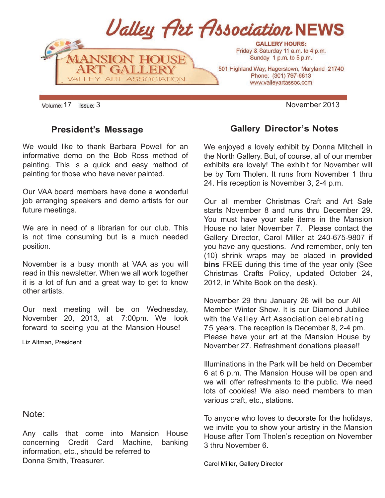

#### **President's Message**

We would like to thank Barbara Powell for an informative demo on the Bob Ross method of painting. This is a quick and easy method of painting for those who have never painted.

Our VAA board members have done a wonderful job arranging speakers and demo artists for our future meetings.

We are in need of a librarian for our club. This is not time consuming but is a much needed position.

November is a busy month at VAA as you will read in this newsletter. When we all work together it is a lot of fun and a great way to get to know other artists.

Our next meeting will be on Wednesday, November 20, 2013, at 7:00pm. We look forward to seeing you at the Mansion House!

Liz Altman, President

#### Note:

Any calls that come into Mansion House concerning Credit Card Machine, banking information, etc., should be referred to Donna Smith, Treasurer.

## **Gallery Director's Notes**

We enjoyed a lovely exhibit by Donna Mitchell in the North Gallery. But, of course, all of our member exhibits are lovely! The exhibit for November will be by Tom Tholen. It runs from November 1 thru 24. His reception is November 3, 2-4 p.m.

Our all member Christmas Craft and Art Sale starts November 8 and runs thru December 29. You must have your sale items in the Mansion House no later November 7. Please contact the Gallery Director, Carol Miller at 240-675-9807 if you have any questions. And remember, only ten (10) shrink wraps may be placed in **provided bins** FREE during this time of the year only (See Christmas Crafts Policy, updated October 24, 2012, in White Book on the desk).

November 29 thru January 26 will be our All Member Winter Show. It is our Diamond Jubilee with the Valley Art Association celebrating 75 years. The reception is December 8, 2-4 pm. Please have your art at the Mansion House by November 27. Refreshment donations please!!

Illuminations in the Park will be held on December 6 at 6 p.m. The Mansion House will be open and we will offer refreshments to the public. We need lots of cookies! We also need members to man various craft, etc., stations.

To anyone who loves to decorate for the holidays, we invite you to show your artistry in the Mansion House after Tom Tholen's reception on November 3 thru November 6.

Carol Miller, Gallery Director

Volume: 17 Issue: 3 **November 2013**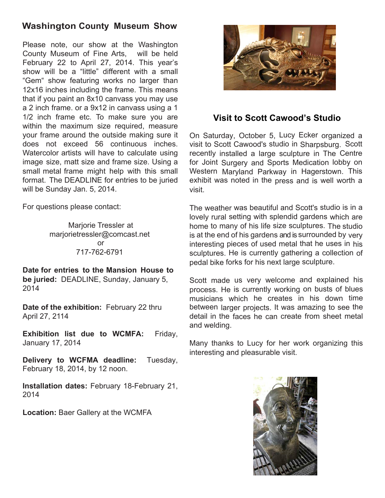## **Washington County Museum Show**

Please note, our show at the Washington County Museum of Fine Arts, will be held February 22 to April 27, 2014. This year's show will be a "little" different with a small "Gem" show featuring works no larger than 12x16 inches including the frame. This means that if you paint an 8x10 canvass you may use a 2 inch frame. or a 9x12 in canvass using a 1 1/2 inch frame etc. To make sure you are within the maximum size required, measure your frame around the outside making sure it does not exceed 56 continuous inches. Watercolor artists will have to calculate using image size, matt size and frame size. Using a small metal frame might help with this small format. The DEADLINE for entries to be juried will be Sunday Jan. 5, 2014.

For questions please contact:

Marjorie Tressler at marjorietressler@comcast.net or 717-762-6791

**Date for entries to the Mansion House to be juried:** DEADLINE, Sunday, January 5, 2014

**Date of the exhibition:** February 22 thru April 27, 2114

**Exhibition list due to WCMFA:** Friday, January 17, 2014

**Delivery to WCFMA deadline:** Tuesday, February 18, 2014, by 12 noon.

**Installation dates:** February 18-February 21, 2014

**Location:** Baer Gallery at the WCMFA



#### **Visit to Scott Cawood's Studio**

On Saturday, October 5, Lucy Ecker organized a visit to Scott Cawood's studio in Sharpsburg. Scott recently installed a large sculpture in The Centre for Joint Surgery and Sports Medication lobby on Western Maryland Parkway in Hagerstown. This exhibit was noted in the press and is well worth a visit.

The weather was beautiful and Scott's studio is in a lovely rural setting with splendid gardens which are home to many of his life size sculptures. The studio is at the end of his gardens and is surrounded by very interesting pieces of used metal that he uses in his sculptures. He is currently gathering a collection of pedal bike forks for his next large sculpture.

Scott made us very welcome and explained his process. He is currently working on busts of blues musicians which he creates in his down time between larger projects. It was amazing to see the detail in the faces he can create from sheet metal and welding.

Many thanks to Lucy for her work organizing this interesting and pleasurable visit.

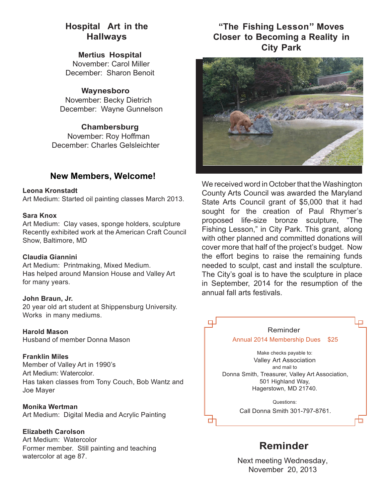#### **Hospital Art in the Hallways**

**Mertius Hospital**  November: Carol Miller December: Sharon Benoit

#### **Waynesboro**

November: Becky Dietrich December: Wayne Gunnelson

**Chambersburg** November: Roy Hoffman December: Charles Gelsleichter

#### **New Members, Welcome!**

#### **Leona Kronstadt**

Art Medium: Started oil painting classes March 2013.

#### **Sara Knox**

Art Medium: Clay vases, sponge holders, sculpture Recently exhibited work at the American Craft Council Show, Baltimore, MD

#### **Claudia Giannini**

Art Medium: Printmaking, Mixed Medium. Has helped around Mansion House and Valley Art for many years.

#### **John Braun, Jr.**

20 year old art student at Shippensburg University. Works in many mediums.

**Harold Mason** Husband of member Donna Mason

**Franklin Miles** Member of Valley Art in 1990's Art Medium: Watercolor. Has taken classes from Tony Couch, Bob Wantz and Joe Mayer

**Monika Wertman** Art Medium: Digital Media and Acrylic Painting

**Elizabeth Carolson** Art Medium: Watercolor Former member. Still painting and teaching watercolor at age 87.

## **"The Fishing Lesson" Moves Closer to Becoming a Reality in City Park**



We received word in October that the Washington County Arts Council was awarded the Maryland State Arts Council grant of \$5,000 that it had sought for the creation of Paul Rhymer's proposed life-size bronze sculpture, "The Fishing Lesson," in City Park. This grant, along with other planned and committed donations will cover more that half of the project's budget. Now the effort begins to raise the remaining funds needed to sculpt, cast and install the sculpture. The City's goal is to have the sculpture in place in September, 2014 for the resumption of the annual fall arts festivals.



**Reminder**

Next meeting Wednesday, November 20, 2013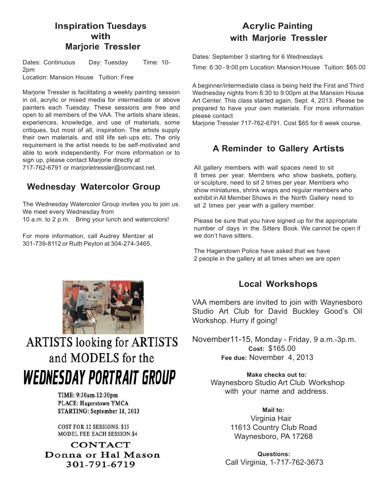#### **Inspiration Tuesdays with Marjorie Tressler**

Dates: Continuous Day: Tuesday Time: 10-2pm Location: Mansion House Tuition: Free

Marjorie Tressler is facilitating a weekly painting session in oil, acrylic or mixed media for intermediate or above painters each Tuesday. These sessions are free and open to all members of the VAA. The artists share ideas, experiences, knowledge, and use of materials, some critiques, but most of all, inspiration. The artists supply their own materials. and still life set- ups etc. The only requirement is the artist needs to be self-motivated and able to work independently. For more information or to sign up, please contact Marjorie directly at 717-762-6791 or marjorietressler@comcast.net.

## **Wednesday Watercolor Group**

The Wednesday Watercolor Group invites you to join us. We meet every Wednesday from 10 a.m. to 2 p.m. Bring your lunch and watercolors!

For more information, call Audrey Mentzer at 301-739-8112 or Ruth Peyton at 304-274-3465.

## **Acrylic Painting with Marjorie Tressler**

Dates: September 3 starting for 6 Wednesdays

Time: 6:30 - 9:00 pm Location: Mansion House Tuition: \$65.00

A beginner/intermediate class is being held the First and Third Wednesday nights from 6:30 to 9:00pm at the Mansion House Art Center. This class started again, Sept. 4, 2013. Please be prepared to have your own materials. For more information please contact

Marjorie Tressler 717-762-6791. Cost \$65 for 6 week course.

## **A Reminder to Gallery Artists**

All gallery members with wall spaces need to sit 8 times per year. Members who show baskets, pottery, or sculpture, need to sit 2 times per year. Members who show miniatures, shrink wraps and regular members who exhibit in All Member Shows in the North Gallery need to sit 2 times per year with a gallery member.

Please be sure that you have signed up for the appropriate number of days in the Sitters Book. We cannot be open if we don't have sitters.

The Hagerstown Police have asked that we have 2 people in the gallery at all times when we are open



**ARTISTS looking for ARTISTS** and MODELS for the **WEDNESDAY PORTRAIT GROUP** 

> TIME: 9:30am-12:30pm PLACE: Hagerstown YMCA STARTING: September 18, 2013

**COST FOR 12 SESSIONS: \$15 MODEL FEE EACH SESSION:\$4** 

**CONTACT** Donna or Hal Mason 301-791-6719

## **Local Workshops**

VAA members are invited to join with Waynesboro Studio Art Club for David Buckley Good's Oil Workshop. Hurry if going!

November11-15, Monday - Friday, 9 a.m.-3p.m. **Cost:** \$165.00 **Fee due:** November 4, 2013

> **Make checks out to:**  Waynesboro Studio Art Club Workshop with your name and address.

> > **Mail to:** Virginia Hair 11613 Country Club Road Waynesboro, PA 17268

 **Questions:** Call Virginia, 1-717-762-3673